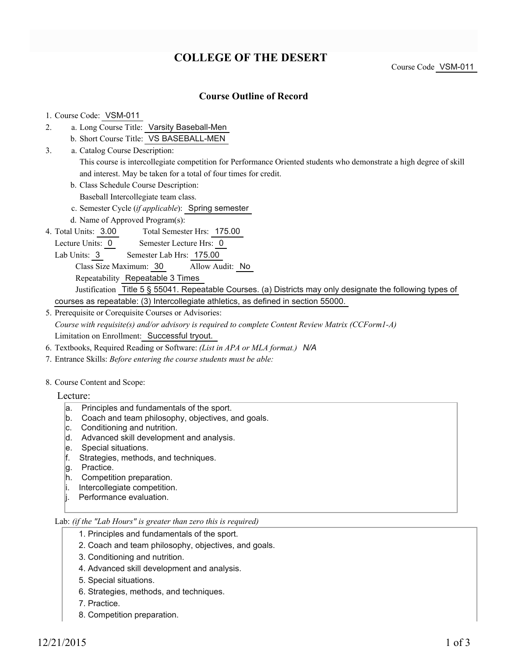# **COLLEGE OF THE DESERT**

### **Course Outline of Record**

#### 1. Course Code: VSM-011

- a. Long Course Title: Varsity Baseball-Men 2.
	- b. Short Course Title: VS BASEBALL-MEN
- Catalog Course Description: a. 3.
	- This course is intercollegiate competition for Performance Oriented students who demonstrate a high degree of skill and interest. May be taken for a total of four times for credit.
	- b. Class Schedule Course Description:
	- Baseball Intercollegiate team class.
	- c. Semester Cycle (*if applicable*): Spring semester
	- d. Name of Approved Program(s):
- Total Semester Hrs: 175.00 4. Total Units: 3.00
- Lecture Units: 0 Semester Lecture Hrs: 0
	- Lab Units: 3 Semester Lab Hrs: 175.00
		- Class Size Maximum: 30 Allow Audit: No
		- Repeatability Repeatable 3 Times
	- Justification Title 5 § 55041. Repeatable Courses. (a) Districts may only designate the following types of courses as repeatable: (3) Intercollegiate athletics, as defined in section 55000.
- 5. Prerequisite or Corequisite Courses or Advisories: *Course with requisite(s) and/or advisory is required to complete Content Review Matrix (CCForm1-A)* Limitation on Enrollment: Successful tryout.
- 6. Textbooks, Required Reading or Software: *(List in APA or MLA format.) N/A*
- 7. Entrance Skills: *Before entering the course students must be able:*
- 8. Course Content and Scope:
	- Lecture:
		- a. Principles and fundamentals of the sport.
		- b. Coach and team philosophy, objectives, and goals.
		- c. Conditioning and nutrition.
		- d. Advanced skill development and analysis.
		- e. Special situations.
		- f. Strategies, methods, and techniques.
		- g. Practice.
		- h. Competition preparation.
		- i. Intercollegiate competition.
		- |i. Performance evaluation.

#### Lab: *(if the "Lab Hours" is greater than zero this is required)*

- 1. Principles and fundamentals of the sport.
- 2. Coach and team philosophy, objectives, and goals.
- 3. Conditioning and nutrition.
- 4. Advanced skill development and analysis.
- 5. Special situations.
- 6. Strategies, methods, and techniques.
- 7. Practice.
- 8. Competition preparation.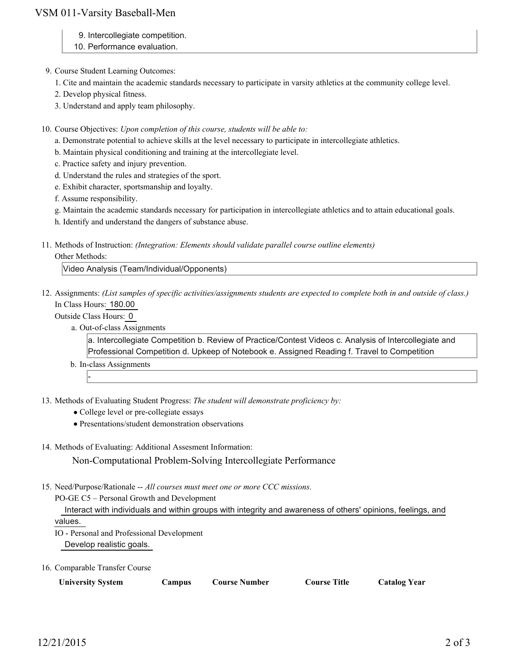## VSM 011-Varsity Baseball-Men

- 9. Intercollegiate competition.
- 10. Performance evaluation.
- 9. Course Student Learning Outcomes:
	- 1. Cite and maintain the academic standards necessary to participate in varsity athletics at the community college level.
	- 2. Develop physical fitness.
	- 3. Understand and apply team philosophy.
- 10. Course Objectives: Upon completion of this course, students will be able to:
	- a. Demonstrate potential to achieve skills at the level necessary to participate in intercollegiate athletics.
	- b. Maintain physical conditioning and training at the intercollegiate level.
	- c. Practice safety and injury prevention.
	- d. Understand the rules and strategies of the sport.
	- e. Exhibit character, sportsmanship and loyalty.

f. Assume responsibility.

- g. Maintain the academic standards necessary for participation in intercollegiate athletics and to attain educational goals.
- h. Identify and understand the dangers of substance abuse.
- Methods of Instruction: *(Integration: Elements should validate parallel course outline elements)* 11.

#### Other Methods:

Video Analysis (Team/Individual/Opponents)

12. Assignments: (List samples of specific activities/assignments students are expected to complete both in and outside of class.) In Class Hours: 180.00

Outside Class Hours: 0

-

a. Out-of-class Assignments

a. Intercollegiate Competition b. Review of Practice/Contest Videos c. Analysis of Intercollegiate and Professional Competition d. Upkeep of Notebook e. Assigned Reading f. Travel to Competition

- b. In-class Assignments
- 13. Methods of Evaluating Student Progress: The student will demonstrate proficiency by:
	- College level or pre-collegiate essays
	- Presentations/student demonstration observations
- 14. Methods of Evaluating: Additional Assesment Information:

Non-Computational Problem-Solving Intercollegiate Performance

15. Need/Purpose/Rationale -- All courses must meet one or more CCC missions.

PO-GE C5 – Personal Growth and Development

 Interact with individuals and within groups with integrity and awareness of others' opinions, feelings, and values.

IO - Personal and Professional Development Develop realistic goals.

16. Comparable Transfer Course

| <b>University System</b> | Campus | Course Number | <b>Course Title</b> | <b>Catalog Year</b> |
|--------------------------|--------|---------------|---------------------|---------------------|
|--------------------------|--------|---------------|---------------------|---------------------|